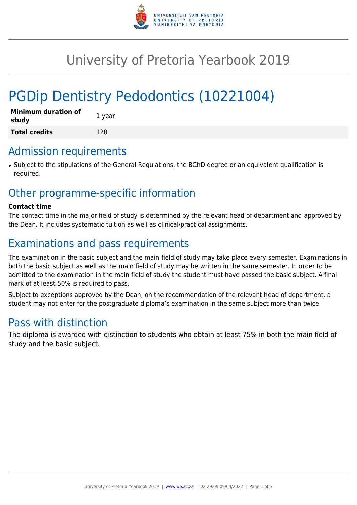

# University of Pretoria Yearbook 2019

# PGDip Dentistry Pedodontics (10221004)

| <b>Minimum duration of</b><br>study | 1 year |
|-------------------------------------|--------|
| <b>Total credits</b>                | 120    |

## Admission requirements

● Subject to the stipulations of the General Regulations, the BChD degree or an equivalent qualification is required.

# Other programme-specific information

#### **Contact time**

The contact time in the major field of study is determined by the relevant head of department and approved by the Dean. It includes systematic tuition as well as clinical/practical assignments.

# Examinations and pass requirements

The examination in the basic subject and the main field of study may take place every semester. Examinations in both the basic subject as well as the main field of study may be written in the same semester. In order to be admitted to the examination in the main field of study the student must have passed the basic subject. A final mark of at least 50% is required to pass.

Subject to exceptions approved by the Dean, on the recommendation of the relevant head of department, a student may not enter for the postgraduate diploma's examination in the same subject more than twice.

# Pass with distinction

The diploma is awarded with distinction to students who obtain at least 75% in both the main field of study and the basic subject.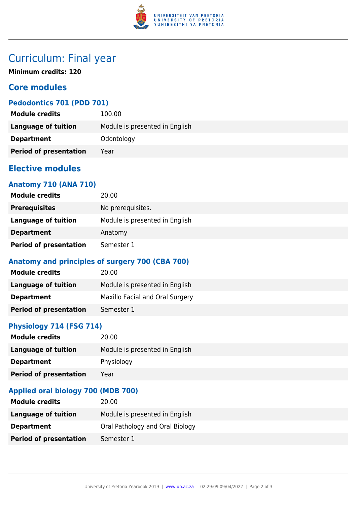

# Curriculum: Final year

**Minimum credits: 120**

## **Core modules**

## **Pedodontics 701 (PDD 701)**

| <b>Module credits</b>         | 100.00                         |
|-------------------------------|--------------------------------|
| Language of tuition           | Module is presented in English |
| <b>Department</b>             | Odontology                     |
| <b>Period of presentation</b> | Year                           |

## **Elective modules**

### **Anatomy 710 (ANA 710)**

| <b>Module credits</b>         | 20.00                          |
|-------------------------------|--------------------------------|
| <b>Prerequisites</b>          | No prerequisites.              |
| Language of tuition           | Module is presented in English |
| <b>Department</b>             | Anatomy                        |
| <b>Period of presentation</b> | Semester 1                     |

## **Anatomy and principles of surgery 700 (CBA 700)**

| <b>Module credits</b>         | 20.00                           |
|-------------------------------|---------------------------------|
| <b>Language of tuition</b>    | Module is presented in English  |
| <b>Department</b>             | Maxillo Facial and Oral Surgery |
| <b>Period of presentation</b> | Semester 1                      |

## **Physiology 714 (FSG 714)**

| <b>Module credits</b>         | 20.00                          |
|-------------------------------|--------------------------------|
| Language of tuition           | Module is presented in English |
| <b>Department</b>             | Physiology                     |
| <b>Period of presentation</b> | Year                           |

## **Applied oral biology 700 (MDB 700)**

| <b>Module credits</b>         | 20.00                           |
|-------------------------------|---------------------------------|
| Language of tuition           | Module is presented in English  |
| <b>Department</b>             | Oral Pathology and Oral Biology |
| <b>Period of presentation</b> | Semester 1                      |